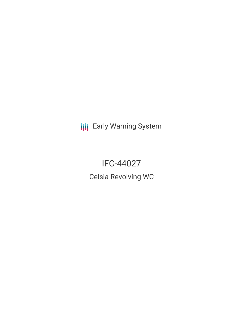**III** Early Warning System

# IFC-44027 Celsia Revolving WC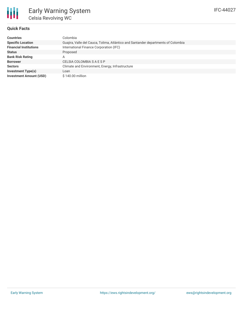

### **Quick Facts**

| <b>Countries</b>               | Colombia                                                                          |
|--------------------------------|-----------------------------------------------------------------------------------|
| <b>Specific Location</b>       | Guajira, Valle del Cauca, Tolima, Atlántico and Santander departments of Colombia |
| <b>Financial Institutions</b>  | International Finance Corporation (IFC)                                           |
| <b>Status</b>                  | Proposed                                                                          |
| <b>Bank Risk Rating</b>        | Α                                                                                 |
| <b>Borrower</b>                | CELSIA COLOMBIA S A E S P                                                         |
| <b>Sectors</b>                 | Climate and Environment, Energy, Infrastructure                                   |
| <b>Investment Type(s)</b>      | Loan                                                                              |
| <b>Investment Amount (USD)</b> | $$140.00$ million                                                                 |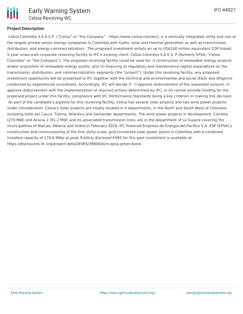

#### **Project Description**

Celsia Colombia S.A E.S.P. ("Celsia" or "the Company" - https://www.celsia.com/es/), is a vertically integrated utility and one of the largest private-sector energy companies in Colombia with hydro, solar and thermal generation as well as transmission, distribution, and energy commercialization. The proposed investment entails an up to US\$140 million equivalent COP-linked, 5-year unsecured corporate revolving facility to IFC's existing client, Celsia Colombia S.A E.S. P (formerly EPSA, "Celsia Colombia" or "the Company"). The proposed revolving facility could be used for: i) construction of renewable energy projects and/or acquisition of renewable energy assets; and (ii) financing of regulatory and maintenance capital expenditure on the transmission, distribution, and commercialization segments (the "project"). Under this revolving facility, any proposed investment opportunity will be presented to IFC together with the technical and environmental and social (E&S) due diligence conducted by experienced consultants. Accordingly, IFC will decide if: i) approve disbursement of the requested amount; ii) approve disbursement with the implementation of required actions determined by IFC; or iii) cannot provide funding for the proposed project under this facility; compliance with IFC Performance Standards being a key criterion in making this decision. As part of the candidate's pipeline for this revolving facility, Celsia has several solar projects and two wind power projects under consideration. Celsia's Solar projects are mostly located in 4 departments, in the North and South West of Colombia including Valle del Cauca, Tolima, Atlántico and Santander departments. The wind power projects in development, Camelia (270 MW) and Acacia 2 (91,2 MW) and its associated transmission lines, are in the department of La Guajira covering the municipalities of Maicao, Albania and Uribia.In February 2018, IFC financed Empresa de Energia del Pacifico S.A. ESP (EPSA)'s construction and commissioning of the first utility-scale, grid-connected solar power plants in Colombia with a combined installed capacity of 178,8 MWp at peak Publicly disclosed ESRS for this past investment is available at: https://disclosures.ifc.org/project-detail/ESRS/39800/dcm-epsa-green-bond.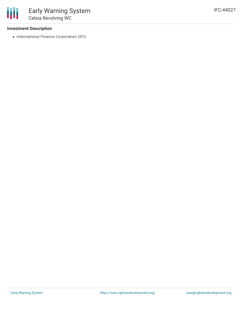#### **Investment Description**

冊

• International Finance Corporation (IFC)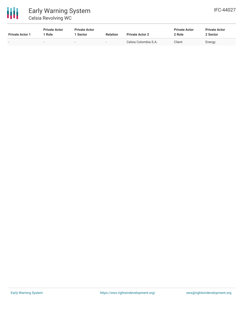

## Early Warning System Celsia Revolving WC

| <b>Private Actor 1</b> | <b>Private Actor</b><br>1 Role | <b>Private Actor</b><br>1 Sector | <b>Relation</b> | <b>Private Actor 2</b> | <b>Private Actor</b><br>2 Role | <b>Private Actor</b><br>2 Sector |  |
|------------------------|--------------------------------|----------------------------------|-----------------|------------------------|--------------------------------|----------------------------------|--|
|                        |                                | -                                | $\sim$          | Celsia Colombia S.A.   | Client                         | Energy                           |  |